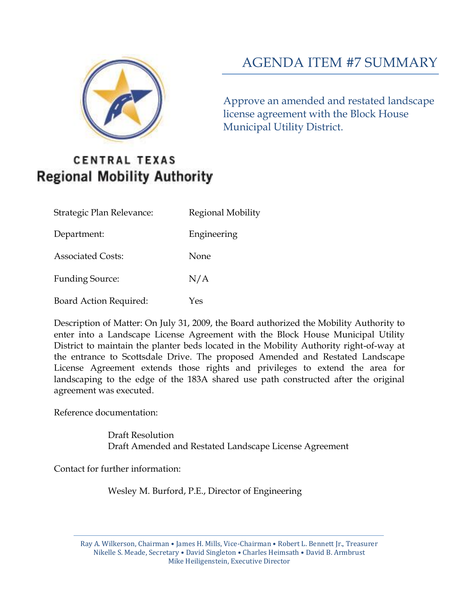

# AGENDA ITEM #7 SUMMARY

Approve an amended and restated landscape license agreement with the Block House Municipal Utility District.

# **CENTRAL TEXAS Regional Mobility Authority**

| Strategic Plan Relevance:     | Regional Mobility |
|-------------------------------|-------------------|
| Department:                   | Engineering       |
| <b>Associated Costs:</b>      | None              |
| <b>Funding Source:</b>        | N/A               |
| <b>Board Action Required:</b> | Yes               |

Description of Matter: On July 31, 2009, the Board authorized the Mobility Authority to enter into a Landscape License Agreement with the Block House Municipal Utility District to maintain the planter beds located in the Mobility Authority right-of-way at the entrance to Scottsdale Drive. The proposed Amended and Restated Landscape License Agreement extends those rights and privileges to extend the area for landscaping to the edge of the 183A shared use path constructed after the original agreement was executed.

Reference documentation:

Draft Resolution Draft Amended and Restated Landscape License Agreement

Contact for further information:

Wesley M. Burford, P.E., Director of Engineering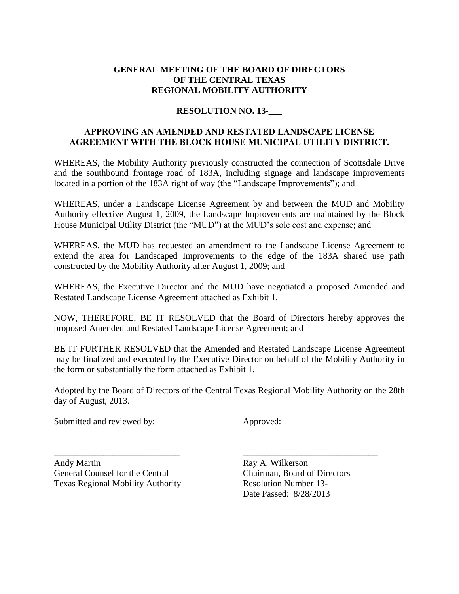## **GENERAL MEETING OF THE BOARD OF DIRECTORS OF THE CENTRAL TEXAS REGIONAL MOBILITY AUTHORITY**

## **RESOLUTION NO. 13-\_\_\_**

## **APPROVING AN AMENDED AND RESTATED LANDSCAPE LICENSE AGREEMENT WITH THE BLOCK HOUSE MUNICIPAL UTILITY DISTRICT.**

WHEREAS, the Mobility Authority previously constructed the connection of Scottsdale Drive and the southbound frontage road of 183A, including signage and landscape improvements located in a portion of the 183A right of way (the "Landscape Improvements"); and

WHEREAS, under a Landscape License Agreement by and between the MUD and Mobility Authority effective August 1, 2009, the Landscape Improvements are maintained by the Block House Municipal Utility District (the "MUD") at the MUD's sole cost and expense; and

WHEREAS, the MUD has requested an amendment to the Landscape License Agreement to extend the area for Landscaped Improvements to the edge of the 183A shared use path constructed by the Mobility Authority after August 1, 2009; and

WHEREAS, the Executive Director and the MUD have negotiated a proposed Amended and Restated Landscape License Agreement attached as Exhibit 1.

NOW, THEREFORE, BE IT RESOLVED that the Board of Directors hereby approves the proposed Amended and Restated Landscape License Agreement; and

BE IT FURTHER RESOLVED that the Amended and Restated Landscape License Agreement may be finalized and executed by the Executive Director on behalf of the Mobility Authority in the form or substantially the form attached as Exhibit 1.

Adopted by the Board of Directors of the Central Texas Regional Mobility Authority on the 28th day of August, 2013.

\_\_\_\_\_\_\_\_\_\_\_\_\_\_\_\_\_\_\_\_\_\_\_\_\_\_\_\_ \_\_\_\_\_\_\_\_\_\_\_\_\_\_\_\_\_\_\_\_\_\_\_\_\_\_\_\_\_\_

Submitted and reviewed by: Approved:

Andy Martin Ray A. Wilkerson General Counsel for the Central Chairman, Board of Directors Texas Regional Mobility Authority Resolution Number 13-\_\_\_

Date Passed: 8/28/2013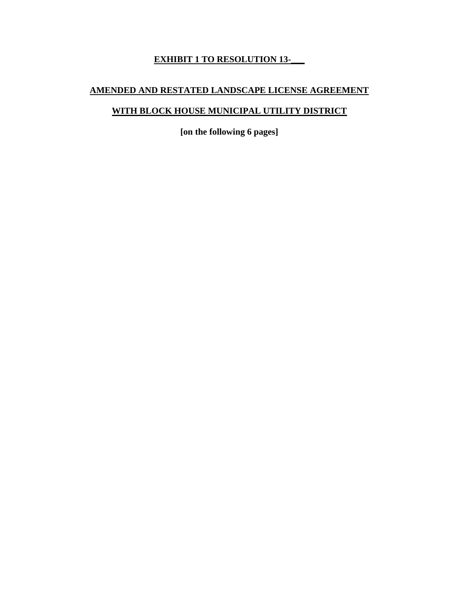# **EXHIBIT 1 TO RESOLUTION 13-\_\_\_**

# **AMENDED AND RESTATED LANDSCAPE LICENSE AGREEMENT**

# **WITH BLOCK HOUSE MUNICIPAL UTILITY DISTRICT**

**[on the following 6 pages]**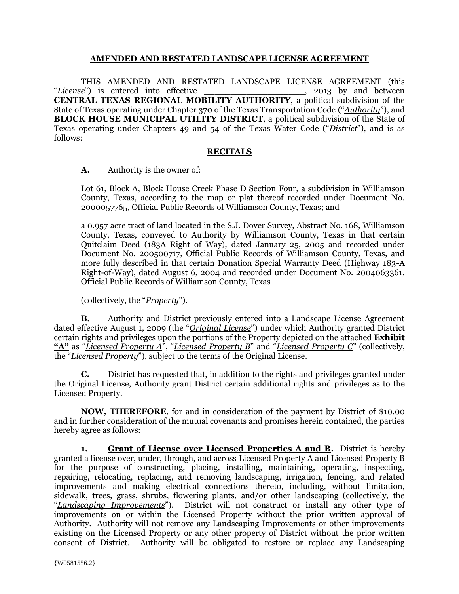#### **AMENDED AND RESTATED LANDSCAPE LICENSE AGREEMENT**

THIS AMENDED AND RESTATED LANDSCAPE LICENSE AGREEMENT (this "*License*") is entered into effective **CENTRAL TEXAS REGIONAL MOBILITY AUTHORITY**, a political subdivision of the State of Texas operating under Chapter 370 of the Texas Transportation Code ("*Authority*"), and **BLOCK HOUSE MUNICIPAL UTILITY DISTRICT**, a political subdivision of the State of Texas operating under Chapters 49 and 54 of the Texas Water Code ("*District*"), and is as follows:

#### **RECITALS**

**A.** Authority is the owner of:

Lot 61, Block A, Block House Creek Phase D Section Four, a subdivision in Williamson County, Texas, according to the map or plat thereof recorded under Document No. 2000057765, Official Public Records of Williamson County, Texas; and

a 0.957 acre tract of land located in the S.J. Dover Survey, Abstract No. 168, Williamson County, Texas, conveyed to Authority by Williamson County, Texas in that certain Quitclaim Deed (183A Right of Way), dated January 25, 2005 and recorded under Document No. 200500717, Official Public Records of Williamson County, Texas, and more fully described in that certain Donation Special Warranty Deed (Highway 183-A Right-of-Way), dated August 6, 2004 and recorded under Document No. 2004063361, Official Public Records of Williamson County, Texas

(collectively, the "*Property*").

**B.** Authority and District previously entered into a Landscape License Agreement dated effective August 1, 2009 (the "*Original License*") under which Authority granted District certain rights and privileges upon the portions of the Property depicted on the attached **Exhibit "A"** as "*Licensed Property A*", "*Licensed Property B*" and "*Licensed Property C*" (collectively, the "*Licensed Property*"), subject to the terms of the Original License.

**C.** District has requested that, in addition to the rights and privileges granted under the Original License, Authority grant District certain additional rights and privileges as to the Licensed Property.

**NOW, THEREFORE**, for and in consideration of the payment by District of \$10.00 and in further consideration of the mutual covenants and promises herein contained, the parties hereby agree as follows:

**1. Grant of License over Licensed Properties A and B.** District is hereby granted a license over, under, through, and across Licensed Property A and Licensed Property B for the purpose of constructing, placing, installing, maintaining, operating, inspecting, repairing, relocating, replacing, and removing landscaping, irrigation, fencing, and related improvements and making electrical connections thereto, including, without limitation, sidewalk, trees, grass, shrubs, flowering plants, and/or other landscaping (collectively, the "*Landscaping Improvements*"). District will not construct or install any other type of improvements on or within the Licensed Property without the prior written approval of Authority. Authority will not remove any Landscaping Improvements or other improvements existing on the Licensed Property or any other property of District without the prior written consent of District. Authority will be obligated to restore or replace any Landscaping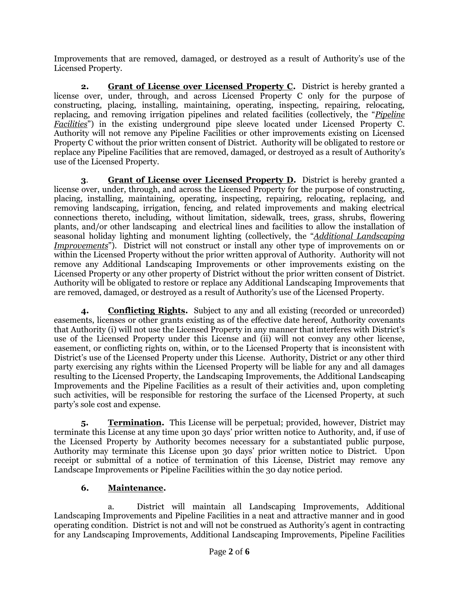Improvements that are removed, damaged, or destroyed as a result of Authority's use of the Licensed Property.

**2. Grant of License over Licensed Property C.** District is hereby granted a license over, under, through, and across Licensed Property C only for the purpose of constructing, placing, installing, maintaining, operating, inspecting, repairing, relocating, replacing, and removing irrigation pipelines and related facilities (collectively, the "*Pipeline Facilities*") in the existing underground pipe sleeve located under Licensed Property C. Authority will not remove any Pipeline Facilities or other improvements existing on Licensed Property C without the prior written consent of District. Authority will be obligated to restore or replace any Pipeline Facilities that are removed, damaged, or destroyed as a result of Authority's use of the Licensed Property.

**3**. **Grant of License over Licensed Property D.** District is hereby granted a license over, under, through, and across the Licensed Property for the purpose of constructing, placing, installing, maintaining, operating, inspecting, repairing, relocating, replacing, and removing landscaping, irrigation, fencing, and related improvements and making electrical connections thereto, including, without limitation, sidewalk, trees, grass, shrubs, flowering plants, and/or other landscaping and electrical lines and facilities to allow the installation of seasonal holiday lighting and monument lighting (collectively, the "*Additional Landscaping Improvements*"). District will not construct or install any other type of improvements on or within the Licensed Property without the prior written approval of Authority. Authority will not remove any Additional Landscaping Improvements or other improvements existing on the Licensed Property or any other property of District without the prior written consent of District. Authority will be obligated to restore or replace any Additional Landscaping Improvements that are removed, damaged, or destroyed as a result of Authority's use of the Licensed Property.

**4. Conflicting Rights.** Subject to any and all existing (recorded or unrecorded) easements, licenses or other grants existing as of the effective date hereof, Authority covenants that Authority (i) will not use the Licensed Property in any manner that interferes with District's use of the Licensed Property under this License and (ii) will not convey any other license, easement, or conflicting rights on, within, or to the Licensed Property that is inconsistent with District's use of the Licensed Property under this License. Authority, District or any other third party exercising any rights within the Licensed Property will be liable for any and all damages resulting to the Licensed Property, the Landscaping Improvements, the Additional Landscaping Improvements and the Pipeline Facilities as a result of their activities and, upon completing such activities, will be responsible for restoring the surface of the Licensed Property, at such party's sole cost and expense.

**5. Termination.** This License will be perpetual; provided, however, District may terminate this License at any time upon 30 days' prior written notice to Authority, and, if use of the Licensed Property by Authority becomes necessary for a substantiated public purpose, Authority may terminate this License upon 30 days' prior written notice to District. Upon receipt or submittal of a notice of termination of this License, District may remove any Landscape Improvements or Pipeline Facilities within the 30 day notice period.

## **6. Maintenance.**

a. District will maintain all Landscaping Improvements, Additional Landscaping Improvements and Pipeline Facilities in a neat and attractive manner and in good operating condition. District is not and will not be construed as Authority's agent in contracting for any Landscaping Improvements, Additional Landscaping Improvements, Pipeline Facilities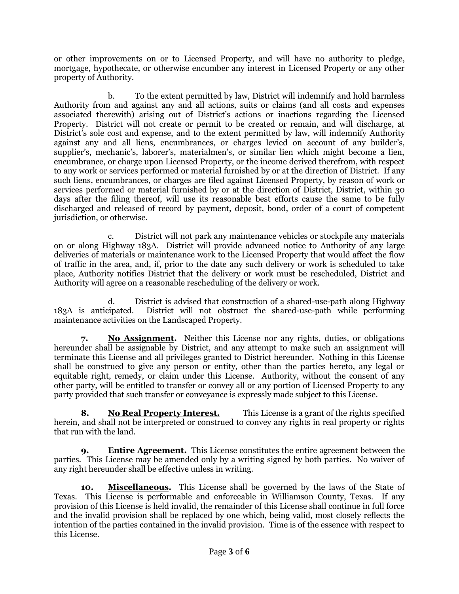or other improvements on or to Licensed Property, and will have no authority to pledge, mortgage, hypothecate, or otherwise encumber any interest in Licensed Property or any other property of Authority.

b. To the extent permitted by law, District will indemnify and hold harmless Authority from and against any and all actions, suits or claims (and all costs and expenses associated therewith) arising out of District's actions or inactions regarding the Licensed Property. District will not create or permit to be created or remain, and will discharge, at District's sole cost and expense, and to the extent permitted by law, will indemnify Authority against any and all liens, encumbrances, or charges levied on account of any builder's, supplier's, mechanic's, laborer's, materialmen's, or similar lien which might become a lien, encumbrance, or charge upon Licensed Property, or the income derived therefrom, with respect to any work or services performed or material furnished by or at the direction of District. If any such liens, encumbrances, or charges are filed against Licensed Property, by reason of work or services performed or material furnished by or at the direction of District, District, within 30 days after the filing thereof, will use its reasonable best efforts cause the same to be fully discharged and released of record by payment, deposit, bond, order of a court of competent jurisdiction, or otherwise.

c. District will not park any maintenance vehicles or stockpile any materials on or along Highway 183A. District will provide advanced notice to Authority of any large deliveries of materials or maintenance work to the Licensed Property that would affect the flow of traffic in the area, and, if, prior to the date any such delivery or work is scheduled to take place, Authority notifies District that the delivery or work must be rescheduled, District and Authority will agree on a reasonable rescheduling of the delivery or work.

d. District is advised that construction of a shared-use-path along Highway 183A is anticipated. District will not obstruct the shared-use-path while performing maintenance activities on the Landscaped Property.

**7. No Assignment.** Neither this License nor any rights, duties, or obligations hereunder shall be assignable by District, and any attempt to make such an assignment will terminate this License and all privileges granted to District hereunder. Nothing in this License shall be construed to give any person or entity, other than the parties hereto, any legal or equitable right, remedy, or claim under this License. Authority, without the consent of any other party, will be entitled to transfer or convey all or any portion of Licensed Property to any party provided that such transfer or conveyance is expressly made subject to this License.

**8. No Real Property Interest.** This License is a grant of the rights specified herein, and shall not be interpreted or construed to convey any rights in real property or rights that run with the land.

**9. Entire Agreement.** This License constitutes the entire agreement between the parties. This License may be amended only by a writing signed by both parties. No waiver of any right hereunder shall be effective unless in writing.

**10. Miscellaneous.** This License shall be governed by the laws of the State of Texas. This License is performable and enforceable in Williamson County, Texas. If any provision of this License is held invalid, the remainder of this License shall continue in full force and the invalid provision shall be replaced by one which, being valid, most closely reflects the intention of the parties contained in the invalid provision. Time is of the essence with respect to this License.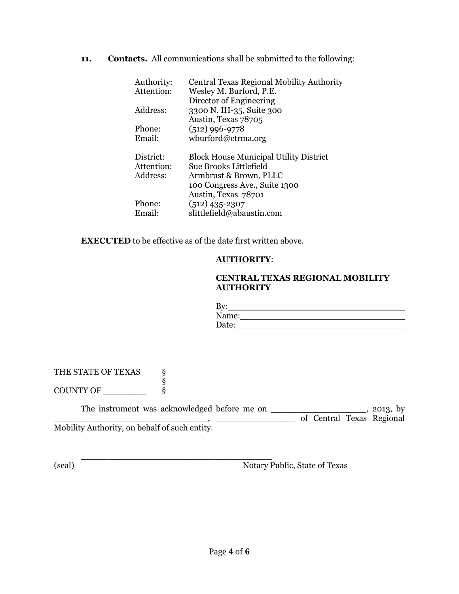**11. Contacts.** All communications shall be submitted to the following:

| Authority: | Central Texas Regional Mobility Authority     |
|------------|-----------------------------------------------|
| Attention: | Wesley M. Burford, P.E.                       |
|            | Director of Engineering                       |
| Address:   | 3300 N. IH-35, Suite 300                      |
|            | Austin, Texas 78705                           |
| Phone:     | $(512)$ 996-9778                              |
| Email:     | wburford@ctrma.org                            |
|            |                                               |
| District:  | <b>Block House Municipal Utility District</b> |
| Attention: | Sue Brooks Littlefield                        |
| Address:   | Armbrust & Brown, PLLC                        |
|            | 100 Congress Ave., Suite 1300                 |
|            | Austin, Texas 78701                           |
| Phone:     | $(512)$ 435-2307                              |
| Email:     | slittlefield@abaustin.com                     |

**EXECUTED** to be effective as of the date first written above.

## **AUTHORITY**:

## **CENTRAL TEXAS REGIONAL MOBILITY AUTHORITY**

| By:   |  |  |
|-------|--|--|
| Name: |  |  |
| Date: |  |  |

THE STATE OF TEXAS § § COUNTY OF \_\_\_\_\_\_\_\_\_

The instrument was acknowledged before me on \_\_\_\_\_\_\_\_\_\_\_\_\_\_\_\_\_\_\_\_, 2013, by \_\_\_\_\_\_\_\_\_\_\_\_\_\_\_\_\_\_\_\_\_\_\_\_\_\_\_\_\_, \_\_\_\_\_\_\_\_\_\_\_\_\_\_\_ of Central Texas Regional Mobility Authority, on behalf of such entity.

\_\_\_\_\_\_\_\_\_\_\_\_\_\_\_\_\_\_\_\_\_\_\_\_\_\_\_\_\_\_\_\_\_\_\_\_ (seal) Notary Public, State of Texas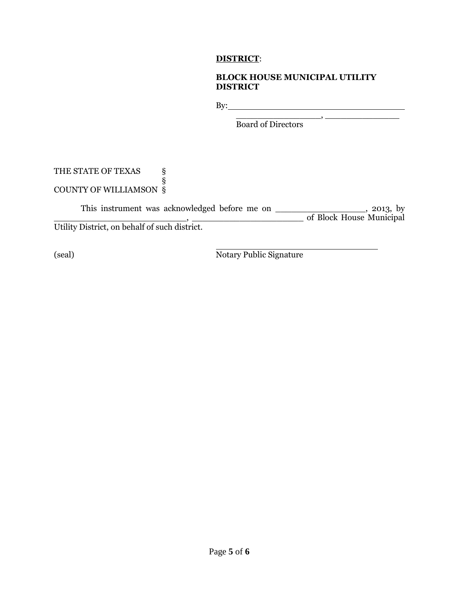## **DISTRICT**:

## **BLOCK HOUSE MUNICIPAL UTILITY DISTRICT**

By: <u>example</u> and the same state of the same state of the same state of the same state of the same state of the same state of the same state of the same state of the same state of the same state of the same state of the sa

 $\overline{\phantom{a}}$  ,  $\overline{\phantom{a}}$  ,  $\overline{\phantom{a}}$  ,  $\overline{\phantom{a}}$  ,  $\overline{\phantom{a}}$  ,  $\overline{\phantom{a}}$  ,  $\overline{\phantom{a}}$  ,  $\overline{\phantom{a}}$  ,  $\overline{\phantom{a}}$  ,  $\overline{\phantom{a}}$  ,  $\overline{\phantom{a}}$  ,  $\overline{\phantom{a}}$  ,  $\overline{\phantom{a}}$  ,  $\overline{\phantom{a}}$  ,  $\overline{\phantom{a}}$  ,  $\overline{\phantom{a}}$ Board of Directors

#### THE STATE OF TEXAS § § COUNTY OF WILLIAMSON §

This instrument was acknowledged before me on \_\_\_\_\_\_\_\_\_\_\_\_\_\_\_\_\_\_\_\_, 2013, by \_\_\_\_\_\_\_\_\_\_\_\_\_\_\_\_\_\_\_\_\_\_\_\_\_, \_\_\_\_\_\_\_\_\_\_\_\_\_\_\_\_\_\_\_\_\_ of Block House Municipal Utility District, on behalf of such district.

(seal) Notary Public Signature